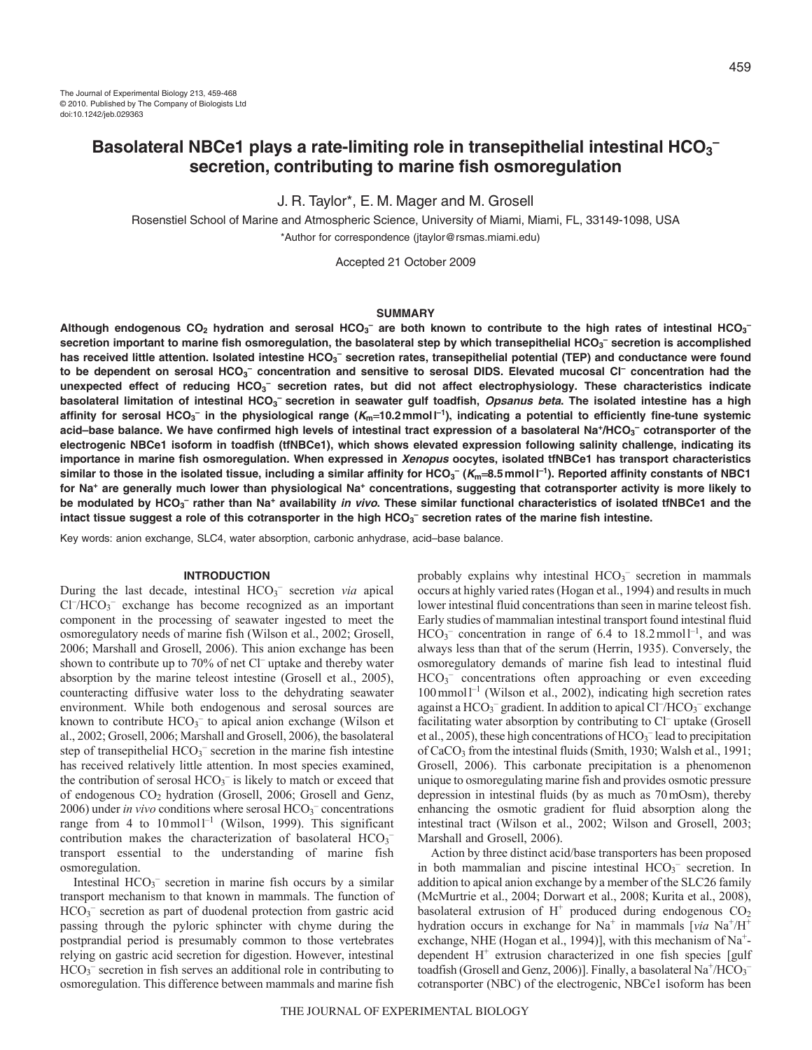J. R. Taylor\*, E. M. Mager and M. Grosell

Rosenstiel School of Marine and Atmospheric Science, University of Miami, Miami, FL, 33149-1098, USA \*Author for correspondence (jtaylor@rsmas.miami.edu)

Accepted 21 October 2009

### **SUMMARY**

Although endogenous CO<sub>2</sub> hydration and serosal HCO<sub>3</sub><sup>–</sup> are both known to contribute to the high rates of intestinal HCO<sub>3</sub><sup>–</sup> **secretion important to marine fish osmoregulation, the basolateral step by which transepithelial HCO3 – secretion is accomplished** has received little attention. Isolated intestine HCO<sub>3</sub><sup>–</sup> secretion rates, transepithelial potential (TEP) and conductance were found **to be dependent on serosal HCO3 – concentration and sensitive to serosal DIDS. Elevated mucosal Cl– concentration had the** unexpected effect of reducing HCO<sub>3</sub><sup>-</sup> secretion rates, but did not affect electrophysiology. These characteristics indicate basolateral limitation of intestinal HCO<sub>3</sub><sup>-</sup> secretion in seawater gulf toadfish, *Opsanus beta*. The isolated intestine has a high **affinity for serosal HCO3 – in the physiological range (Km10.2mmoll –1), indicating a potential to efficiently fine-tune systemic** acid–base balance. We have confirmed high levels of intestinal tract expression of a basolateral Na\*/HCO<sub>3</sub><sup>–</sup> cotransporter of the **electrogenic NBCe1 isoform in toadfish (tfNBCe1), which shows elevated expression following salinity challenge, indicating its importance in marine fish osmoregulation. When expressed in Xenopus oocytes, isolated tfNBCe1 has transport characteristics** similar to those in the isolated tissue, including a similar affinity for HCO<sub>3</sub>  $(K_m$ =8.5mmol*\*=1). Reported affinity constants of NBC1 **for Na+ are generally much lower than physiological Na+ concentrations, suggesting that cotransporter activity is more likely to be modulated by HCO3 – rather than Na+ availability in vivo. These similar functional characteristics of isolated tfNBCe1 and the** intact tissue suggest a role of this cotransporter in the high HCO<sub>3</sub><sup>-</sup> secretion rates of the marine fish intestine.

Key words: anion exchange, SLC4, water absorption, carbonic anhydrase, acid–base balance.

## **INTRODUCTION**

During the last decade, intestinal HCO<sub>3</sub><sup>-</sup> secretion *via* apical Cl<sup>-</sup>/HCO<sub>3</sub><sup>-</sup> exchange has become recognized as an important component in the processing of seawater ingested to meet the osmoregulatory needs of marine fish (Wilson et al., 2002; Grosell, 2006; Marshall and Grosell, 2006). This anion exchange has been shown to contribute up to 70% of net Cl– uptake and thereby water absorption by the marine teleost intestine (Grosell et al., 2005), counteracting diffusive water loss to the dehydrating seawater environment. While both endogenous and serosal sources are known to contribute  $HCO<sub>3</sub><sup>-</sup>$  to apical anion exchange (Wilson et al., 2002; Grosell, 2006; Marshall and Grosell, 2006), the basolateral step of transepithelial HCO<sub>3</sub><sup>-</sup> secretion in the marine fish intestine has received relatively little attention. In most species examined, the contribution of serosal  $HCO<sub>3</sub><sup>-</sup>$  is likely to match or exceed that of endogenous CO2 hydration (Grosell, 2006; Grosell and Genz, 2006) under *in vivo* conditions where serosal HCO<sub>3</sub><sup>-</sup> concentrations range from 4 to  $10 \text{ mmol}^{-1}$  (Wilson, 1999). This significant contribution makes the characterization of basolateral  $HCO<sub>3</sub>$ transport essential to the understanding of marine fish osmoregulation.

Intestinal  $HCO<sub>3</sub><sup>-</sup>$  secretion in marine fish occurs by a similar transport mechanism to that known in mammals. The function of HCO<sub>3</sub><sup>-</sup> secretion as part of duodenal protection from gastric acid passing through the pyloric sphincter with chyme during the postprandial period is presumably common to those vertebrates relying on gastric acid secretion for digestion. However, intestinal HCO<sub>3</sub><sup>-</sup> secretion in fish serves an additional role in contributing to osmoregulation. This difference between mammals and marine fish

probably explains why intestinal  $HCO_3^-$  secretion in mammals occurs at highly varied rates (Hogan et al., 1994) and results in much lower intestinal fluid concentrations than seen in marine teleost fish. Early studies of mammalian intestinal transport found intestinal fluid  $HCO<sub>3</sub><sup>-</sup>$  concentration in range of 6.4 to 18.2 mmoll<sup>-1</sup>, and was always less than that of the serum (Herrin, 1935). Conversely, the osmoregulatory demands of marine fish lead to intestinal fluid HCO<sub>3</sub> concentrations often approaching or even exceeding 100mmoll –1 (Wilson et al., 2002), indicating high secretion rates against a  $HCO_3^-$  gradient. In addition to apical  $Cl^-/HCO_3^-$  exchange facilitating water absorption by contributing to Cl<sup>-</sup> uptake (Grosell et al., 2005), these high concentrations of  $HCO<sub>3</sub><sup>-</sup>$  lead to precipitation of CaCO<sub>3</sub> from the intestinal fluids (Smith, 1930; Walsh et al., 1991; Grosell, 2006). This carbonate precipitation is a phenomenon unique to osmoregulating marine fish and provides osmotic pressure depression in intestinal fluids (by as much as 70mOsm), thereby enhancing the osmotic gradient for fluid absorption along the intestinal tract (Wilson et al., 2002; Wilson and Grosell, 2003; Marshall and Grosell, 2006).

Action by three distinct acid/base transporters has been proposed in both mammalian and piscine intestinal  $HCO<sub>3</sub><sup>-</sup>$  secretion. In addition to apical anion exchange by a member of the SLC26 family (McMurtrie et al., 2004; Dorwart et al., 2008; Kurita et al., 2008), basolateral extrusion of  $H^+$  produced during endogenous  $CO<sub>2</sub>$ hydration occurs in exchange for Na<sup>+</sup> in mammals [*via* Na<sup>+</sup>/H<sup>+</sup> exchange, NHE (Hogan et al., 1994)], with this mechanism of Na<sup>+</sup>dependent  $H^+$  extrusion characterized in one fish species [gulf] toadfish (Grosell and Genz, 2006)]. Finally, a basolateral  $\mathrm{Na^+/HCO_3^-}$ cotransporter (NBC) of the electrogenic, NBCe1 isoform has been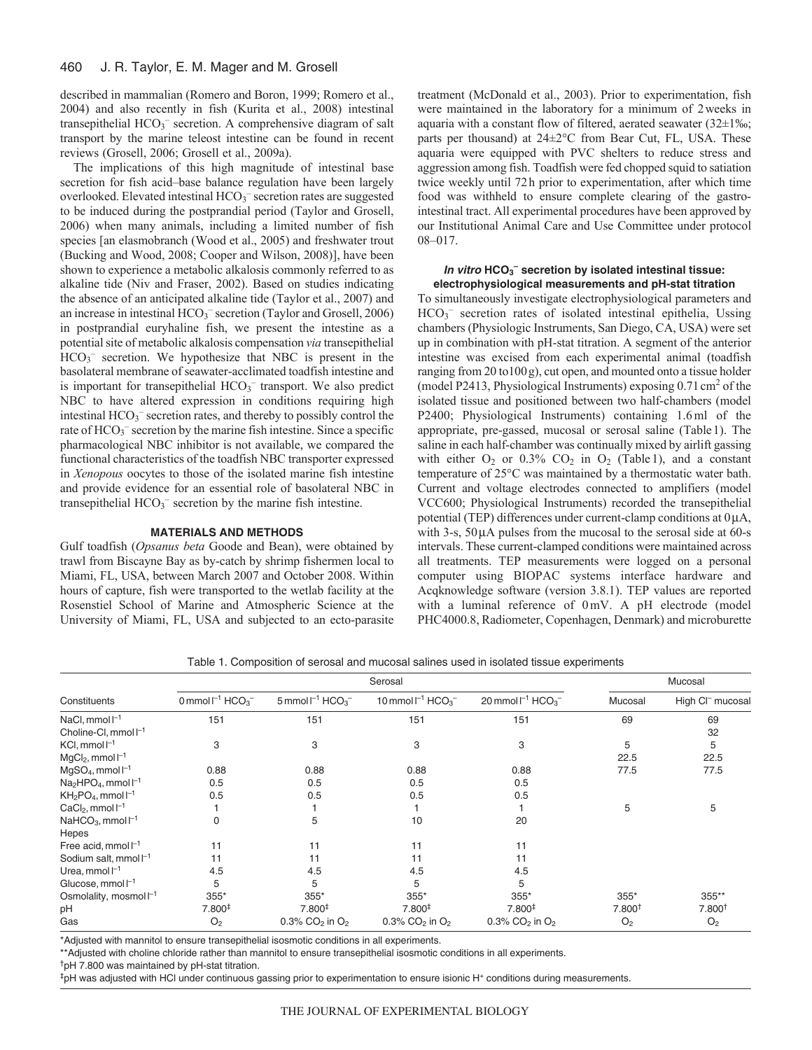described in mammalian (Romero and Boron, 1999; Romero et al., 2004) and also recently in fish (Kurita et al., 2008) intestinal transepithelial HCO<sub>3</sub><sup>-</sup> secretion. A comprehensive diagram of salt transport by the marine teleost intestine can be found in recent reviews (Grosell, 2006; Grosell et al., 2009a).

The implications of this high magnitude of intestinal base secretion for fish acid–base balance regulation have been largely overlooked. Elevated intestinal HCO<sub>3</sub><sup>-</sup> secretion rates are suggested to be induced during the postprandial period (Taylor and Grosell, 2006) when many animals, including a limited number of fish species [an elasmobranch (Wood et al., 2005) and freshwater trout (Bucking and Wood, 2008; Cooper and Wilson, 2008)], have been shown to experience a metabolic alkalosis commonly referred to as alkaline tide (Niv and Fraser, 2002). Based on studies indicating the absence of an anticipated alkaline tide (Taylor et al., 2007) and an increase in intestinal HCO<sub>3</sub><sup>-</sup> secretion (Taylor and Grosell, 2006) in postprandial euryhaline fish, we present the intestine as a potential site of metabolic alkalosis compensation *via* transepithelial HCO<sub>3</sub><sup>-</sup> secretion. We hypothesize that NBC is present in the basolateral membrane of seawater-acclimated toadfish intestine and is important for transepithelial HCO<sub>3</sub><sup>-</sup> transport. We also predict NBC to have altered expression in conditions requiring high intestinal HCO<sub>3</sub><sup>-</sup> secretion rates, and thereby to possibly control the rate of HCO<sub>3</sub><sup>-</sup> secretion by the marine fish intestine. Since a specific pharmacological NBC inhibitor is not available, we compared the functional characteristics of the toadfish NBC transporter expressed in *Xenopous* oocytes to those of the isolated marine fish intestine and provide evidence for an essential role of basolateral NBC in transepithelial  $HCO_3^-$  secretion by the marine fish intestine.

## **MATERIALS AND METHODS**

Gulf toadfish (*Opsanus beta* Goode and Bean), were obtained by trawl from Biscayne Bay as by-catch by shrimp fishermen local to Miami, FL, USA, between March 2007 and October 2008. Within hours of capture, fish were transported to the wetlab facility at the Rosenstiel School of Marine and Atmospheric Science at the University of Miami, FL, USA and subjected to an ecto-parasite treatment (McDonald et al., 2003). Prior to experimentation, fish were maintained in the laboratory for a minimum of 2weeks in aquaria with a constant flow of filtered, aerated seawater (32±1‰; parts per thousand) at 24±2°C from Bear Cut, FL, USA. These aquaria were equipped with PVC shelters to reduce stress and aggression among fish. Toadfish were fed chopped squid to satiation twice weekly until 72h prior to experimentation, after which time food was withheld to ensure complete clearing of the gastrointestinal tract. All experimental procedures have been approved by our Institutional Animal Care and Use Committee under protocol 08–017.

## In vitro  $HCO<sub>3</sub><sup>-</sup>$  secretion by isolated intestinal tissue: **electrophysiological measurements and pH-stat titration**

To simultaneously investigate electrophysiological parameters and HCO<sub>3</sub><sup>-</sup> secretion rates of isolated intestinal epithelia, Ussing chambers (Physiologic Instruments, San Diego, CA, USA) were set up in combination with pH-stat titration. A segment of the anterior intestine was excised from each experimental animal (toadfish ranging from 20 to100g), cut open, and mounted onto a tissue holder (model P2413, Physiological Instruments) exposing 0.71 cm<sup>2</sup> of the isolated tissue and positioned between two half-chambers (model P2400; Physiological Instruments) containing 1.6ml of the appropriate, pre-gassed, mucosal or serosal saline (Table1). The saline in each half-chamber was continually mixed by airlift gassing with either  $O_2$  or 0.3%  $CO_2$  in  $O_2$  (Table 1), and a constant temperature of 25°C was maintained by a thermostatic water bath. Current and voltage electrodes connected to amplifiers (model VCC600; Physiological Instruments) recorded the transepithelial potential (TEP) differences under current-clamp conditions at  $0 \mu A$ , with 3-s,  $50\mu A$  pulses from the mucosal to the serosal side at 60-s intervals. These current-clamped conditions were maintained across all treatments. TEP measurements were logged on a personal computer using BIOPAC systems interface hardware and Acqknowledge software (version 3.8.1). TEP values are reported with a luminal reference of 0mV. A pH electrode (model PHC4000.8, Radiometer, Copenhagen, Denmark) and microburette

|  |  |  |  |  |  | Table 1. Composition of serosal and mucosal salines used in isolated tissue experiments |
|--|--|--|--|--|--|-----------------------------------------------------------------------------------------|
|--|--|--|--|--|--|-----------------------------------------------------------------------------------------|

|                                         |                                  |                                    | Mucosal                             |                                           |                    |                              |
|-----------------------------------------|----------------------------------|------------------------------------|-------------------------------------|-------------------------------------------|--------------------|------------------------------|
| Constituents                            | 0 mmol $I^{-1}$ HCO <sub>3</sub> | $5$ mmol $I^{-1}$ HCO <sub>3</sub> | $10$ mmol $I^{-1}$ HCO <sub>3</sub> | 20 mmol $I^{-1}$ HCO <sub>3</sub>         | Mucosal            | High CI <sup>-</sup> mucosal |
| NaCl, mmol $l^{-1}$                     | 151                              | 151                                | 151                                 | 151                                       | 69                 | 69                           |
| Choline-Cl, $mmol I^{-1}$               |                                  |                                    |                                     |                                           |                    | 32                           |
| $KCl, mmol I^{-1}$                      | 3                                | 3                                  | 3                                   | 3                                         | 5                  | 5                            |
| $MgCl2$ , mmol $I-1$                    |                                  |                                    |                                     |                                           | 22.5               | 22.5                         |
| $MqSO4$ , mmol $I^{-1}$                 | 0.88                             | 0.88                               | 0.88                                | 0.88                                      | 77.5               | 77.5                         |
| $Na2HPO4$ , mmol $I-1$                  | 0.5                              | 0.5                                | 0.5                                 | 0.5                                       |                    |                              |
| $KH_2PO_4$ , mmol $I^{-1}$              | 0.5                              | 0.5                                | 0.5                                 | 0.5                                       |                    |                              |
| $CaCl2$ , mmol $I-1$                    |                                  |                                    |                                     |                                           | 5                  | 5                            |
| NaHCO <sub>3</sub> , mmol <sup>-1</sup> | 0                                | 5                                  | 10                                  | 20                                        |                    |                              |
| Hepes                                   |                                  |                                    |                                     |                                           |                    |                              |
| Free acid, mmol $\Gamma^1$              | 11                               | 11                                 | 11                                  | 11                                        |                    |                              |
| Sodium salt, mmol <sup>-1</sup>         | 11                               | 11                                 | 11                                  | 11                                        |                    |                              |
| Urea, mmol $l^{-1}$                     | 4.5                              | 4.5                                | 4.5                                 | 4.5                                       |                    |                              |
| Glucose, $mmol-1$                       | 5                                | 5                                  | 5                                   | 5                                         |                    |                              |
| Osmolality, mosmol <sup>-1</sup>        | 355*                             | 355*                               | $355*$                              | $355*$                                    | $355*$             | 355**                        |
| pH                                      | 7.800 <sup>‡</sup>               | 7.800 <sup>‡</sup>                 | 7.800 <sup>‡</sup>                  | 7.800 <sup>‡</sup>                        | 7.800 <sup>†</sup> | 7.800 <sup>†</sup>           |
| Gas                                     | O <sub>2</sub>                   | 0.3% $CO2$ in $O2$                 | 0.3% $CO2$ in $O2$                  | $0.3\%$ CO <sub>2</sub> in O <sub>2</sub> | O <sub>2</sub>     | O <sub>2</sub>               |

\*Adjusted with mannitol to ensure transepithelial isosmotic conditions in all experiments.

\*\*Adjusted with choline chloride rather than mannitol to ensure transepithelial isosmotic conditions in all experiments.

<sup>†</sup>pH 7.800 was maintained by pH-stat titration.

‡pH was adjusted with HCl under continuous gassing prior to experimentation to ensure isionic H+ conditions during measurements.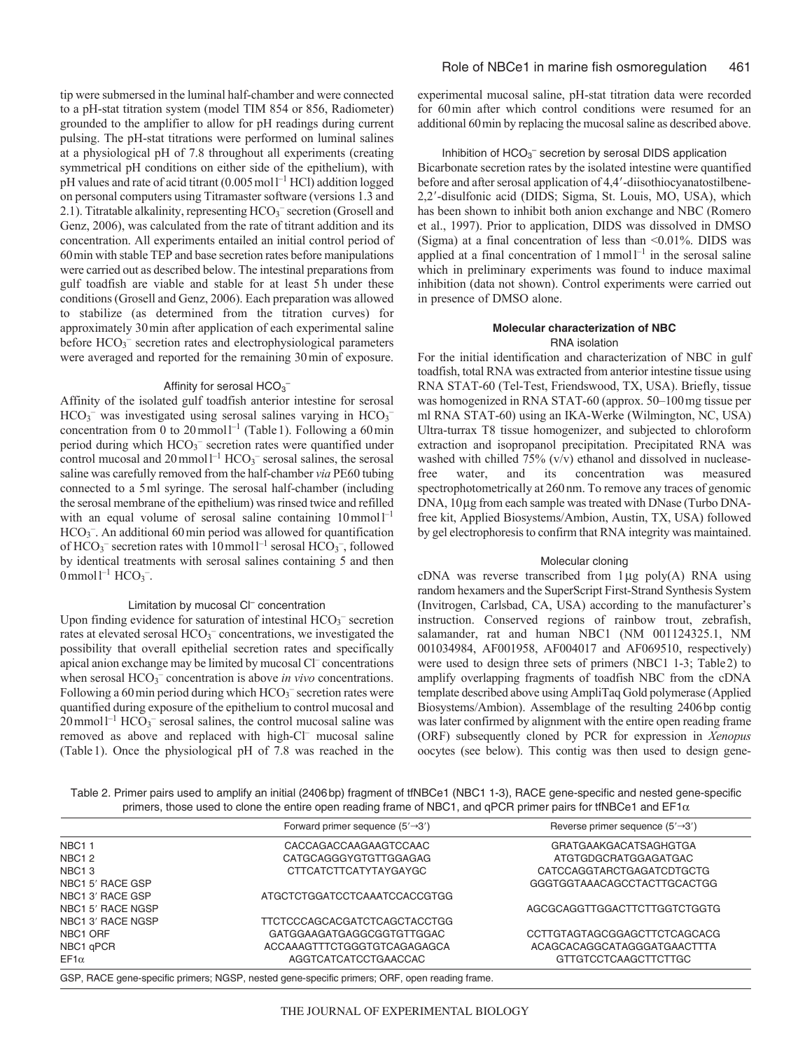tip were submersed in the luminal half-chamber and were connected to a pH-stat titration system (model TIM 854 or 856, Radiometer) grounded to the amplifier to allow for pH readings during current pulsing. The pH-stat titrations were performed on luminal salines at a physiological pH of 7.8 throughout all experiments (creating symmetrical pH conditions on either side of the epithelium), with pH values and rate of acid titrant  $(0.005 \text{ mol}^{-1} \text{ HCl})$  addition logged on personal computers using Titramaster software (versions 1.3 and 2.1). Titratable alkalinity, representing  $HCO_3^-$  secretion (Grosell and Genz, 2006), was calculated from the rate of titrant addition and its concentration. All experiments entailed an initial control period of 60min with stable TEP and base secretion rates before manipulations were carried out as described below. The intestinal preparations from gulf toadfish are viable and stable for at least 5h under these conditions (Grosell and Genz, 2006). Each preparation was allowed to stabilize (as determined from the titration curves) for approximately 30min after application of each experimental saline before HCO<sub>3</sub><sup>-</sup> secretion rates and electrophysiological parameters were averaged and reported for the remaining 30min of exposure.

# Affinity for serosal  $\mathsf{HCO_3}^-$

Affinity of the isolated gulf toadfish anterior intestine for serosal  $HCO<sub>3</sub><sup>-</sup>$  was investigated using serosal salines varying in  $HCO<sub>3</sub>$ concentration from 0 to 20 mmol<sup> $-1$ </sup> (Table 1). Following a 60 min period during which HCO<sub>3</sub><sup>-</sup> secretion rates were quantified under control mucosal and  $20$  mmol<sup>1-1</sup> HCO<sub>3</sub><sup>-</sup> serosal salines, the serosal saline was carefully removed from the half-chamber *via* PE60 tubing connected to a 5ml syringe. The serosal half-chamber (including the serosal membrane of the epithelium) was rinsed twice and refilled with an equal volume of serosal saline containing 10 mmol<sup>1-1</sup> HCO<sub>3</sub><sup>-</sup>. An additional 60 min period was allowed for quantification of HCO<sub>3</sub><sup>-</sup> secretion rates with 10 mmol<sup>1-1</sup> serosal HCO<sub>3</sub><sup>-</sup>, followed by identical treatments with serosal salines containing 5 and then  $0$  mmol<sup>1-1</sup> HCO<sub>3</sub><sup>-</sup>.

### Limitation by mucosal Cl<sup>-</sup> concentration

Upon finding evidence for saturation of intestinal HCO<sub>3</sub><sup>-</sup> secretion rates at elevated serosal HCO<sub>3</sub><sup>-</sup> concentrations, we investigated the possibility that overall epithelial secretion rates and specifically apical anion exchange may be limited by mucosal Cl– concentrations when serosal HCO<sub>3</sub><sup>-</sup> concentration is above *in vivo* concentrations. Following a 60 min period during which  $HCO_3^-$  secretion rates were quantified during exposure of the epithelium to control mucosal and  $20$  mmol<sup>1-1</sup> HCO<sub>3</sub><sup>-</sup> serosal salines, the control mucosal saline was removed as above and replaced with high-Cl– mucosal saline (Table1). Once the physiological pH of 7.8 was reached in the experimental mucosal saline, pH-stat titration data were recorded for 60min after which control conditions were resumed for an additional 60min by replacing the mucosal saline as described above.

Inhibition of HCO<sub>3</sub><sup>-</sup> secretion by serosal DIDS application Bicarbonate secretion rates by the isolated intestine were quantified before and after serosal application of 4,4'-diisothiocyanatostilbene-2,2--disulfonic acid (DIDS; Sigma, St. Louis, MO, USA), which has been shown to inhibit both anion exchange and NBC (Romero et al., 1997). Prior to application, DIDS was dissolved in DMSO (Sigma) at a final concentration of less than  $\leq 0.01\%$ . DIDS was applied at a final concentration of  $1$ mmol $1^{-1}$  in the serosal saline which in preliminary experiments was found to induce maximal inhibition (data not shown). Control experiments were carried out in presence of DMSO alone.

# **Molecular characterization of NBC** RNA isolation

For the initial identification and characterization of NBC in gulf toadfish, total RNA was extracted from anterior intestine tissue using RNA STAT-60 (Tel-Test, Friendswood, TX, USA). Briefly, tissue was homogenized in RNA STAT-60 (approx. 50–100mg tissue per ml RNA STAT-60) using an IKA-Werke (Wilmington, NC, USA) Ultra-turrax T8 tissue homogenizer, and subjected to chloroform extraction and isopropanol precipitation. Precipitated RNA was washed with chilled 75% (v/v) ethanol and dissolved in nucleasefree water, and its concentration was measured spectrophotometrically at 260 nm. To remove any traces of genomic DNA, 10µg from each sample was treated with DNase (Turbo DNAfree kit, Applied Biosystems/Ambion, Austin, TX, USA) followed by gel electrophoresis to confirm that RNA integrity was maintained.

## Molecular cloning

cDNA was reverse transcribed from  $1\mu$ g poly(A) RNA using random hexamers and the SuperScript First-Strand Synthesis System (Invitrogen, Carlsbad, CA, USA) according to the manufacturer's instruction. Conserved regions of rainbow trout, zebrafish, salamander, rat and human NBC1 (NM 001124325.1, NM 001034984, AF001958, AF004017 and AF069510, respectively) were used to design three sets of primers (NBC1 1-3; Table2) to amplify overlapping fragments of toadfish NBC from the cDNA template described above using AmpliTaq Gold polymerase (Applied Biosystems/Ambion). Assemblage of the resulting 2406bp contig was later confirmed by alignment with the entire open reading frame (ORF) subsequently cloned by PCR for expression in *Xenopus* oocytes (see below). This contig was then used to design gene-

Table 2. Primer pairs used to amplify an initial (2406bp) fragment of tfNBCe1 (NBC1 1-3), RACE gene-specific and nested gene-specific primers, those used to clone the entire open reading frame of NBC1, and qPCR primer pairs for tfNBCe1 and EF1 $\alpha$ 

|                   | Forward primer sequence $(5' \rightarrow 3')$                                               | Reverse primer sequence $(5' \rightarrow 3')$ |
|-------------------|---------------------------------------------------------------------------------------------|-----------------------------------------------|
| <b>NBC11</b>      | CACCAGACCAAGAAGTCCAAC                                                                       | <b>GRATGAAKGACATSAGHGTGA</b>                  |
| NBC <sub>12</sub> | CATGCAGGGYGTGTTGGAGAG                                                                       | ATGTGDGCRATGGAGATGAC                          |
| NBC <sub>13</sub> | CTTCATCTTCATYTAYGAYGC                                                                       | CATCCAGGTARCTGAGATCDTGCTG                     |
| NBC1 5' RACE GSP  |                                                                                             | GGGTGGTAAACAGCCTACTTGCACTGG                   |
| NBC1 3' RACE GSP  | ATGCTCTGGATCCTCAAATCCACCGTGG                                                                |                                               |
| NBC1 5' RACE NGSP |                                                                                             | AGCGCAGGTTGGACTTCTTGGTCTGGTG                  |
| NBC1 3' RACE NGSP | TTCTCCCAGCACGATCTCAGCTACCTGG                                                                |                                               |
| NBC1 ORF          | GATGGAAGATGAGGCGGTGTTGGAC                                                                   | CCTTGTAGTAGCGGAGCTTCTCAGCACG                  |
| NBC1 qPCR         | ACCAAAGTTTCTGGGTGTCAGAGAGCA                                                                 | ACAGCACAGGCATAGGGATGAACTTTA                   |
| $EFT\alpha$       | AGGTCATCATCCTGAACCAC                                                                        | GTTGTCCTCAAGCTTCTTGC                          |
|                   | CCD, DACE sees anothic primeres NCCD, posted sees anothic primeres ODE, anno reading from a |                                               |

GSP, RACE gene-specific primers; NGSP, nested gene-specific primers; ORF, open reading frame.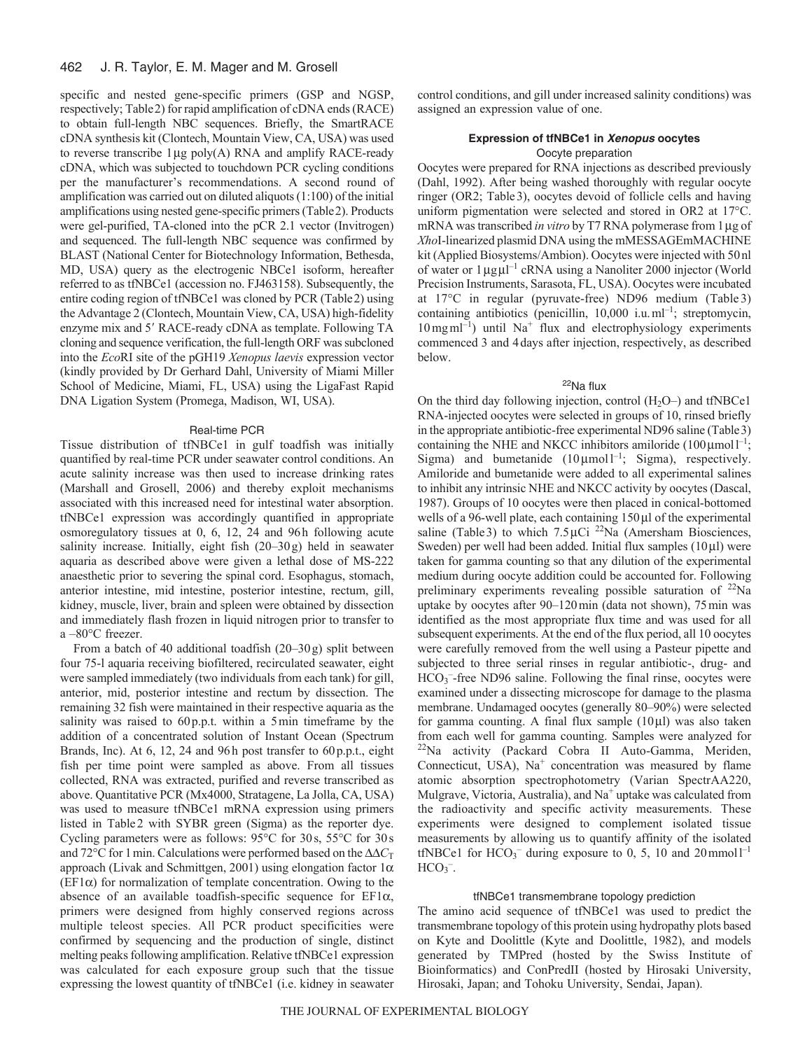#### 462 J. R. Taylor, E. M. Mager and M. Grosell

specific and nested gene-specific primers (GSP and NGSP, respectively; Table2) for rapid amplification of cDNA ends (RACE) to obtain full-length NBC sequences. Briefly, the SmartRACE cDNA synthesis kit (Clontech, Mountain View, CA, USA) was used to reverse transcribe  $1\,\mu$ g poly(A) RNA and amplify RACE-ready cDNA, which was subjected to touchdown PCR cycling conditions per the manufacturer's recommendations. A second round of amplification was carried out on diluted aliquots (1:100) of the initial amplifications using nested gene-specific primers (Table2). Products were gel-purified, TA-cloned into the pCR 2.1 vector (Invitrogen) and sequenced. The full-length NBC sequence was confirmed by BLAST (National Center for Biotechnology Information, Bethesda, MD, USA) query as the electrogenic NBCe1 isoform, hereafter referred to as tfNBCe1 (accession no. FJ463158). Subsequently, the entire coding region of tfNBCe1 was cloned by PCR (Table2) using the Advantage 2 (Clontech, Mountain View, CA, USA) high-fidelity enzyme mix and 5' RACE-ready cDNA as template. Following TA cloning and sequence verification, the full-length ORF was subcloned into the *Eco*RI site of the pGH19 *Xenopus laevis* expression vector (kindly provided by Dr Gerhard Dahl, University of Miami Miller School of Medicine, Miami, FL, USA) using the LigaFast Rapid DNA Ligation System (Promega, Madison, WI, USA).

## Real-time PCR

Tissue distribution of tfNBCe1 in gulf toadfish was initially quantified by real-time PCR under seawater control conditions. An acute salinity increase was then used to increase drinking rates (Marshall and Grosell, 2006) and thereby exploit mechanisms associated with this increased need for intestinal water absorption. tfNBCe1 expression was accordingly quantified in appropriate osmoregulatory tissues at 0, 6, 12, 24 and 96h following acute salinity increase. Initially, eight fish (20–30g) held in seawater aquaria as described above were given a lethal dose of MS-222 anaesthetic prior to severing the spinal cord. Esophagus, stomach, anterior intestine, mid intestine, posterior intestine, rectum, gill, kidney, muscle, liver, brain and spleen were obtained by dissection and immediately flash frozen in liquid nitrogen prior to transfer to a –80°C freezer.

From a batch of 40 additional toadfish (20–30g) split between four 75-l aquaria receiving biofiltered, recirculated seawater, eight were sampled immediately (two individuals from each tank) for gill, anterior, mid, posterior intestine and rectum by dissection. The remaining 32 fish were maintained in their respective aquaria as the salinity was raised to 60p.p.t. within a 5min timeframe by the addition of a concentrated solution of Instant Ocean (Spectrum Brands, Inc). At 6, 12, 24 and 96h post transfer to 60p.p.t., eight fish per time point were sampled as above. From all tissues collected, RNA was extracted, purified and reverse transcribed as above. Quantitative PCR (Mx4000, Stratagene, La Jolla, CA, USA) was used to measure tfNBCe1 mRNA expression using primers listed in Table2 with SYBR green (Sigma) as the reporter dye. Cycling parameters were as follows: 95°C for 30s, 55°C for 30s and 72 $\rm{°C}$  for 1 min. Calculations were performed based on the  $\Delta\Delta C_T$ approach (Livak and Schmittgen, 2001) using elongation factor  $1\alpha$  $(EF1\alpha)$  for normalization of template concentration. Owing to the absence of an available toadfish-specific sequence for  $EFA$ , primers were designed from highly conserved regions across multiple teleost species. All PCR product specificities were confirmed by sequencing and the production of single, distinct melting peaks following amplification. Relative tfNBCe1 expression was calculated for each exposure group such that the tissue expressing the lowest quantity of tfNBCe1 (i.e. kidney in seawater control conditions, and gill under increased salinity conditions) was assigned an expression value of one.

# **Expression of tfNBCe1 in Xenopus oocytes** Oocyte preparation

Oocytes were prepared for RNA injections as described previously (Dahl, 1992). After being washed thoroughly with regular oocyte ringer (OR2; Table3), oocytes devoid of follicle cells and having uniform pigmentation were selected and stored in OR2 at 17°C. mRNA was transcribed *in vitro* by T7 RNA polymerase from 1 µg of *Xho*I-linearized plasmid DNA using the mMESSAGEmMACHINE kit (Applied Biosystems/Ambion). Oocytes were injected with 50nl of water or 1 µgµ<sup>-1</sup> cRNA using a Nanoliter 2000 injector (World Precision Instruments, Sarasota, FL, USA). Oocytes were incubated at 17°C in regular (pyruvate-free) ND96 medium (Table 3) containing antibiotics (penicillin,  $10,000$  i.u.ml<sup>-1</sup>; streptomycin,  $10$  mg ml<sup>-1</sup>) until Na<sup>+</sup> flux and electrophysiology experiments commenced 3 and 4days after injection, respectively, as described below.

# 22Na flux

On the third day following injection, control  $(H_2O-)$  and tfNBCe1 RNA-injected oocytes were selected in groups of 10, rinsed briefly in the appropriate antibiotic-free experimental ND96 saline (Table3) containing the NHE and NKCC inhibitors amiloride  $(100 \mu \text{mol})^{-1}$ ; Sigma) and bumetanide  $(10 \mu \text{mol})^{-1}$ ; Sigma), respectively. Amiloride and bumetanide were added to all experimental salines to inhibit any intrinsic NHE and NKCC activity by oocytes (Dascal, 1987). Groups of 10 oocytes were then placed in conical-bottomed wells of a 96-well plate, each containing  $150 \mu l$  of the experimental saline (Table 3) to which  $7.5 \mu$ Ci <sup>22</sup>Na (Amersham Biosciences, Sweden) per well had been added. Initial flux samples  $(10 \mu l)$  were taken for gamma counting so that any dilution of the experimental medium during oocyte addition could be accounted for. Following preliminary experiments revealing possible saturation of 22Na uptake by oocytes after 90–120min (data not shown), 75min was identified as the most appropriate flux time and was used for all subsequent experiments. At the end of the flux period, all 10 oocytes were carefully removed from the well using a Pasteur pipette and subjected to three serial rinses in regular antibiotic-, drug- and HCO<sub>3</sub><sup>-</sup>-free ND96 saline. Following the final rinse, oocytes were examined under a dissecting microscope for damage to the plasma membrane. Undamaged oocytes (generally 80–90%) were selected for gamma counting. A final flux sample  $(10 \mu l)$  was also taken from each well for gamma counting. Samples were analyzed for  $^{22}$ Na activity (Packard Cobra II Auto-Gamma, Meriden, Connecticut, USA),  $Na<sup>+</sup>$  concentration was measured by flame atomic absorption spectrophotometry (Varian SpectrAA220, Mulgrave, Victoria, Australia), and  $Na<sup>+</sup>$  uptake was calculated from the radioactivity and specific activity measurements. These experiments were designed to complement isolated tissue measurements by allowing us to quantify affinity of the isolated tfNBCe1 for  $HCO<sub>3</sub><sup>-</sup>$  during exposure to 0, 5, 10 and 20 mmol<sup>1-1</sup>  $HCO<sub>3</sub><sup>-</sup>$ .

## tfNBCe1 transmembrane topology prediction

The amino acid sequence of tfNBCe1 was used to predict the transmembrane topology of this protein using hydropathy plots based on Kyte and Doolittle (Kyte and Doolittle, 1982), and models generated by TMPred (hosted by the Swiss Institute of Bioinformatics) and ConPredII (hosted by Hirosaki University, Hirosaki, Japan; and Tohoku University, Sendai, Japan).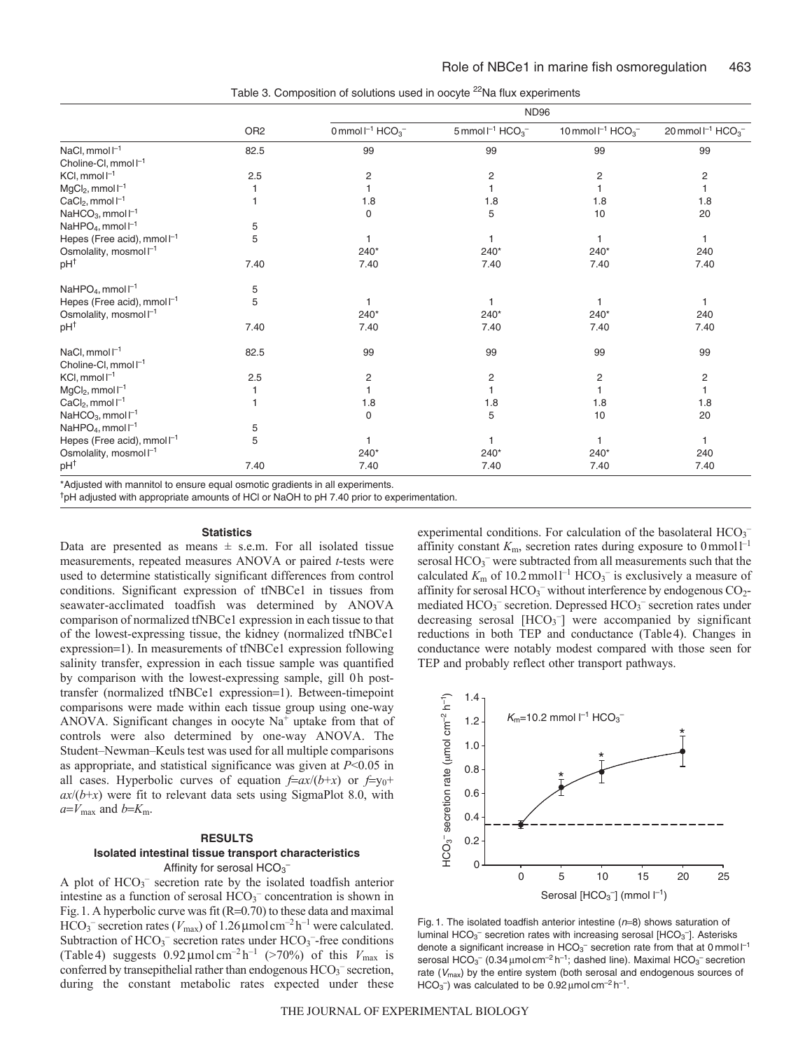|                                    |                 | <b>ND96</b>                                     |                                                 |                                                |                                                |
|------------------------------------|-----------------|-------------------------------------------------|-------------------------------------------------|------------------------------------------------|------------------------------------------------|
|                                    | OR <sub>2</sub> | $0$ mmol $I^{-1}$ HCO <sub>3</sub> <sup>-</sup> | $5$ mmol $I^{-1}$ HCO <sub>3</sub> <sup>-</sup> | 10 mmol $I^{-1}$ HCO <sub>3</sub> <sup>-</sup> | 20 mmol $I^{-1}$ HCO <sub>3</sub> <sup>-</sup> |
| NaCl, mmol <sup>-1</sup>           | 82.5            | 99                                              | 99                                              | 99                                             | 99                                             |
| Choline-CI, mmol <sup>-1</sup>     |                 |                                                 |                                                 |                                                |                                                |
| $KCl, mmol I^{-1}$                 | 2.5             | 2                                               | 2                                               | 2                                              | 2                                              |
| $MgCl2$ , mmol $I-1$               |                 |                                                 |                                                 |                                                |                                                |
| $CaCl2$ , mmol $I-1$               |                 | 1.8                                             | 1.8                                             | 1.8                                            | 1.8                                            |
| NaHCO <sub>3</sub> , mmol $I^{-1}$ |                 | $\mathbf 0$                                     | 5                                               | 10                                             | 20                                             |
| NaHPO <sub>4</sub> , mmol $I^{-1}$ | 5               |                                                 |                                                 |                                                |                                                |
| Hepes (Free acid), mmol $I^{-1}$   | 5               |                                                 |                                                 |                                                | $\mathbf{1}$                                   |
| Osmolality, mosmol <sup>-1</sup>   |                 | $240*$                                          | $240*$                                          | $240*$                                         | 240                                            |
| pH <sup>†</sup>                    | 7.40            | 7.40                                            | 7.40                                            | 7.40                                           | 7.40                                           |
| NaHPO <sub>4</sub> , mmol $I^{-1}$ | 5               |                                                 |                                                 |                                                |                                                |
| Hepes (Free acid), mmol $I^{-1}$   | 5               |                                                 |                                                 |                                                |                                                |
| Osmolality, mosmol I <sup>-1</sup> |                 | $240*$                                          | $240*$                                          | $240*$                                         | 240                                            |
| pH <sup>†</sup>                    | 7.40            | 7.40                                            | 7.40                                            | 7.40                                           | 7.40                                           |
| NaCl, mmol $l^{-1}$                | 82.5            | 99                                              | 99                                              | 99                                             | 99                                             |
| Choline-Cl, mmol I <sup>-1</sup>   |                 |                                                 |                                                 |                                                |                                                |
| $KCl, mmol I^{-1}$                 | 2.5             | 2                                               | 2                                               | 2                                              | 2                                              |
| $MgCl2, mmol I^{-1}$               |                 |                                                 |                                                 |                                                |                                                |
| $CaCl2$ , mmol $I-1$               |                 | 1.8                                             | 1.8                                             | 1.8                                            | 1.8                                            |
| NaHCO <sub>3</sub> , mmol $l^{-1}$ |                 | $\mathbf 0$                                     | 5                                               | 10                                             | 20                                             |
| NaHPO <sub>4</sub> , mmol $I^{-1}$ | 5               |                                                 |                                                 |                                                |                                                |
| Hepes (Free acid), mmol $I^{-1}$   | 5               |                                                 |                                                 |                                                | $\mathbf{1}$                                   |
| Osmolality, mosmol l <sup>-1</sup> |                 | $240*$                                          | $240*$                                          | $240*$                                         | 240                                            |
| pH <sup>†</sup>                    | 7.40            | 7.40                                            | 7.40                                            | 7.40                                           | 7.40                                           |

Table 3. Composition of solutions used in oocyte <sup>22</sup>Na flux experiments

\*Adjusted with mannitol to ensure equal osmotic gradients in all experiments.

<sup>†</sup>pH adjusted with appropriate amounts of HCl or NaOH to pH 7.40 prior to experimentation.

#### **Statistics**

Data are presented as means  $\pm$  s.e.m. For all isolated tissue measurements, repeated measures ANOVA or paired *t*-tests were used to determine statistically significant differences from control conditions. Significant expression of tfNBCe1 in tissues from seawater-acclimated toadfish was determined by ANOVA comparison of normalized tfNBCe1 expression in each tissue to that of the lowest-expressing tissue, the kidney (normalized tfNBCe1 expression=1). In measurements of tfNBCe1 expression following salinity transfer, expression in each tissue sample was quantified by comparison with the lowest-expressing sample, gill 0h posttransfer (normalized tfNBCe1 expression=1). Between-timepoint comparisons were made within each tissue group using one-way ANOVA. Significant changes in oocyte  $Na<sup>+</sup>$  uptake from that of controls were also determined by one-way ANOVA. The Student–Newman–Keuls test was used for all multiple comparisons as appropriate, and statistical significance was given at *P*<0.05 in all cases. Hyperbolic curves of equation  $f=ax/(b+x)$  or  $f=y_0+$  $ax/(b+x)$  were fit to relevant data sets using SigmaPlot 8.0, with  $a = V_{\text{max}}$  and  $b = K_{\text{m}}$ .

### **RESULTS**

# **Isolated intestinal tissue transport characteristics** Affinity for serosal  $\mathsf{HCO_3}^-$

A plot of HCO<sub>3</sub><sup>-</sup> secretion rate by the isolated toadfish anterior intestine as a function of serosal HCO<sub>3</sub><sup>-</sup> concentration is shown in Fig. 1. A hyperbolic curve was fit  $(R=0.70)$  to these data and maximal  $HCO_3^-$  secretion rates ( $V_{\text{max}}$ ) of 1.26  $\mu$ mol cm<sup>-2</sup> h<sup>-1</sup> were calculated. Subtraction of HCO<sub>3</sub><sup>-</sup> secretion rates under HCO<sub>3</sub><sup>-</sup>-free conditions (Table 4) suggests  $0.92 \mu$ mol cm<sup>-2</sup> h<sup>-1</sup> (>70%) of this  $V_{\text{max}}$  is conferred by transepithelial rather than endogenous  $HCO<sub>3</sub><sup>-</sup>$  secretion, during the constant metabolic rates expected under these

experimental conditions. For calculation of the basolateral HCO<sub>3</sub><sup>-</sup> affinity constant  $K_{\text{m}}$ , secretion rates during exposure to  $0 \text{ mmol } 1^{-1}$ serosal HCO<sub>3</sub><sup>-</sup> were subtracted from all measurements such that the calculated  $K_{\text{m}}$  of 10.2 mmol<sup>-1</sup> HCO<sub>3</sub><sup>-</sup> is exclusively a measure of affinity for serosal HCO<sub>3</sub><sup>-</sup> without interference by endogenous CO<sub>2</sub>mediated  $HCO<sub>3</sub><sup>-</sup>$  secretion. Depressed  $HCO<sub>3</sub><sup>-</sup>$  secretion rates under decreasing serosal [HCO<sub>3</sub><sup>-</sup>] were accompanied by significant reductions in both TEP and conductance (Table4). Changes in conductance were notably modest compared with those seen for TEP and probably reflect other transport pathways.



Fig. 1. The isolated toadfish anterior intestine  $(n=8)$  shows saturation of luminal  $HCO<sub>3</sub><sup>-</sup>$  secretion rates with increasing serosal [HCO<sub>3</sub><sup>-</sup>]. Asterisks denote a significant increase in  $HCO_3^-$  secretion rate from that at 0 mmol  $I^{-1}$ serosal  $HCO_3^-$  (0.34 µmol cm<sup>-2</sup> h<sup>-1</sup>; dashed line). Maximal  $HCO_3^-$  secretion rate  $(V_{\text{max}})$  by the entire system (both serosal and endogenous sources of HCO<sub>3</sub><sup>-</sup>) was calculated to be 0.92  $\mu$ mol cm<sup>-2</sup> h<sup>-1</sup>.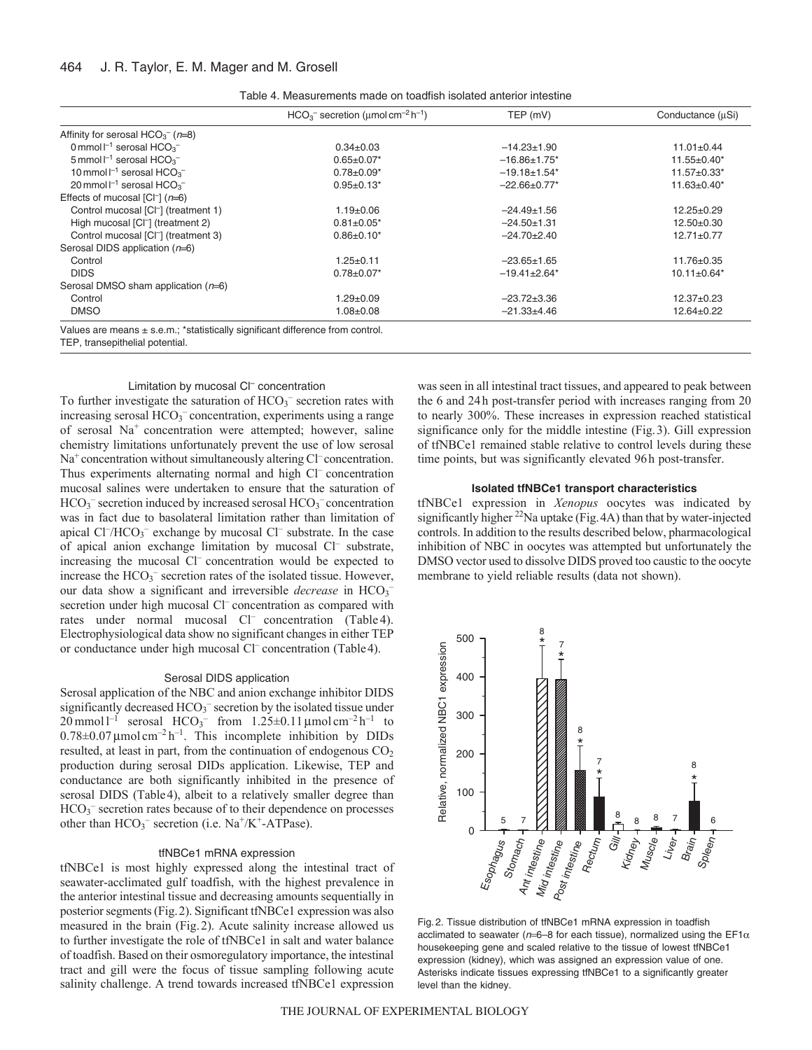#### 464 J. R. Taylor, E. M. Mager and M. Grosell

| Table 4. Measurements made on toadfish isolated anterior intestine |  |
|--------------------------------------------------------------------|--|
|--------------------------------------------------------------------|--|

|                                                                    | $HCO3$ secretion (umol cm <sup>-2</sup> h <sup>-1</sup> ) | TEP (mV)                       | Conductance (uSi)             |
|--------------------------------------------------------------------|-----------------------------------------------------------|--------------------------------|-------------------------------|
| Affinity for serosal $HCO3-$ ( $n=8$ )                             |                                                           |                                |                               |
| 0 mmol $\Gamma$ <sup>1</sup> serosal HCO <sub>3</sub> <sup>-</sup> | $0.34 \pm 0.03$                                           | $-14.23 \pm 1.90$              | $11.01 \pm 0.44$              |
| 5 mmol $I^{-1}$ serosal HCO <sub>3</sub> <sup>-</sup>              | $0.65 \pm 0.07*$                                          | $-16.86 \pm 1.75$ *            | 11.55±0.40*                   |
| 10 mmol $I^{-1}$ serosal HCO <sub>3</sub> <sup>-</sup>             | $0.78 \pm 0.09*$                                          | $-19.18 \pm 1.54$ <sup>*</sup> | 11.57±0.33*                   |
| 20 mmol $I^{-1}$ serosal HCO <sub>3</sub> <sup>-</sup>             | $0.95 \pm 0.13*$                                          | $-22.66 \pm 0.77$ *            | $11.63 \pm 0.40^*$            |
| Effects of mucosal $[Cl^-]$ ( $n=6$ )                              |                                                           |                                |                               |
| Control mucosal [CI <sup>-</sup> ] (treatment 1)                   | $1.19 \pm 0.06$                                           | $-24.49 \pm 1.56$              | $12.25 \pm 0.29$              |
| High mucosal [CI <sup>-</sup> ] (treatment 2)                      | $0.81 \pm 0.05^*$                                         | $-24.50+1.31$                  | $12.50+0.30$                  |
| Control mucosal [CI <sup>-</sup> ] (treatment 3)                   | $0.86 \pm 0.10^*$                                         | $-24.70+2.40$                  | $12.71 \pm 0.77$              |
| Serosal DIDS application (n=6)                                     |                                                           |                                |                               |
| Control                                                            | $1.25 \pm 0.11$                                           | $-23.65 \pm 1.65$              | $11.76 \pm 0.35$              |
| <b>DIDS</b>                                                        | $0.78 \pm 0.07$ *                                         | $-19.41 \pm 2.64$ <sup>*</sup> | $10.11 \pm 0.64$ <sup>*</sup> |
| Serosal DMSO sham application $(n=6)$                              |                                                           |                                |                               |
| Control                                                            | $1.29 \pm 0.09$                                           | $-23.72 \pm 3.36$              | $12.37+0.23$                  |
| <b>DMSO</b>                                                        | $1.08 \pm 0.08$                                           | $-21.33+4.46$                  | $12.64 \pm 0.22$              |

TEP, transepithelial potential.

## Limitation by mucosal Cl– concentration

To further investigate the saturation of HCO<sub>3</sub><sup>-</sup> secretion rates with increasing serosal HCO3 *–* concentration, experiments using a range of serosal Na+ concentration were attempted; however, saline chemistry limitations unfortunately prevent the use of low serosal Na<sup>+</sup> concentration without simultaneously altering Cl<sup>–</sup> concentration. Thus experiments alternating normal and high Cl<sup>-</sup> concentration mucosal salines were undertaken to ensure that the saturation of HCO<sub>3</sub><sup>-</sup> secretion induced by increased serosal HCO<sub>3</sub><sup>-</sup> concentration was in fact due to basolateral limitation rather than limitation of apical Cl<sup>-</sup>/HCO<sub>3</sub><sup>-</sup> exchange by mucosal Cl<sup>-</sup> substrate. In the case of apical anion exchange limitation by mucosal Cl*–* substrate, increasing the mucosal Cl*–* concentration would be expected to increase the HCO3 *–* secretion rates of the isolated tissue. However, our data show a significant and irreversible *decrease* in HCO<sub>3</sub><sup>-</sup> secretion under high mucosal Cl<sup>–</sup> concentration as compared with rates under normal mucosal Cl<sup>–</sup> concentration (Table 4). Electrophysiological data show no significant changes in either TEP or conductance under high mucosal Cl*–* concentration (Table4).

#### Serosal DIDS application

Serosal application of the NBC and anion exchange inhibitor DIDS significantly decreased HCO3 *–* secretion by the isolated tissue under  $20 \text{ mmol } l^{-1}$  serosal  $HCO_3^-$  from  $1.25 \pm 0.11 \text{ mmol cm}^{-2} h^{-1}$  to  $0.78\pm0.07$  µmol cm<sup>-2</sup> h<sup>-1</sup>. This incomplete inhibition by DIDs resulted, at least in part, from the continuation of endogenous  $CO<sub>2</sub>$ production during serosal DIDs application. Likewise, TEP and conductance are both significantly inhibited in the presence of serosal DIDS (Table4), albeit to a relatively smaller degree than HCO<sub>3</sub><sup>–</sup> secretion rates because of to their dependence on processes other than HCO<sub>3</sub><sup>-</sup> secretion (i.e. Na<sup>+</sup>/K<sup>+</sup>-ATPase).

#### tfNBCe1 mRNA expression

tfNBCe1 is most highly expressed along the intestinal tract of seawater-acclimated gulf toadfish, with the highest prevalence in the anterior intestinal tissue and decreasing amounts sequentially in posterior segments (Fig.2). Significant tfNBCe1 expression was also measured in the brain (Fig.2). Acute salinity increase allowed us to further investigate the role of tfNBCe1 in salt and water balance of toadfish. Based on their osmoregulatory importance, the intestinal tract and gill were the focus of tissue sampling following acute salinity challenge. A trend towards increased tfNBCe1 expression was seen in all intestinal tract tissues, and appeared to peak between the 6 and 24h post-transfer period with increases ranging from 20 to nearly 300%. These increases in expression reached statistical significance only for the middle intestine (Fig.3). Gill expression of tfNBCe1 remained stable relative to control levels during these time points, but was significantly elevated 96h post-transfer.

## **Isolated tfNBCe1 transport characteristics**

tfNBCe1 expression in *Xenopus* oocytes was indicated by significantly higher <sup>22</sup>Na uptake (Fig. 4A) than that by water-injected controls. In addition to the results described below, pharmacological inhibition of NBC in oocytes was attempted but unfortunately the DMSO vector used to dissolve DIDS proved too caustic to the oocyte membrane to yield reliable results (data not shown).



Fig. 2. Tissue distribution of tfNBCe1 mRNA expression in toadfish acclimated to seawater ( $n=6-8$  for each tissue), normalized using the EF1 $\alpha$ housekeeping gene and scaled relative to the tissue of lowest tfNBCe1 expression (kidney), which was assigned an expression value of one. Asterisks indicate tissues expressing tfNBCe1 to a significantly greater level than the kidney.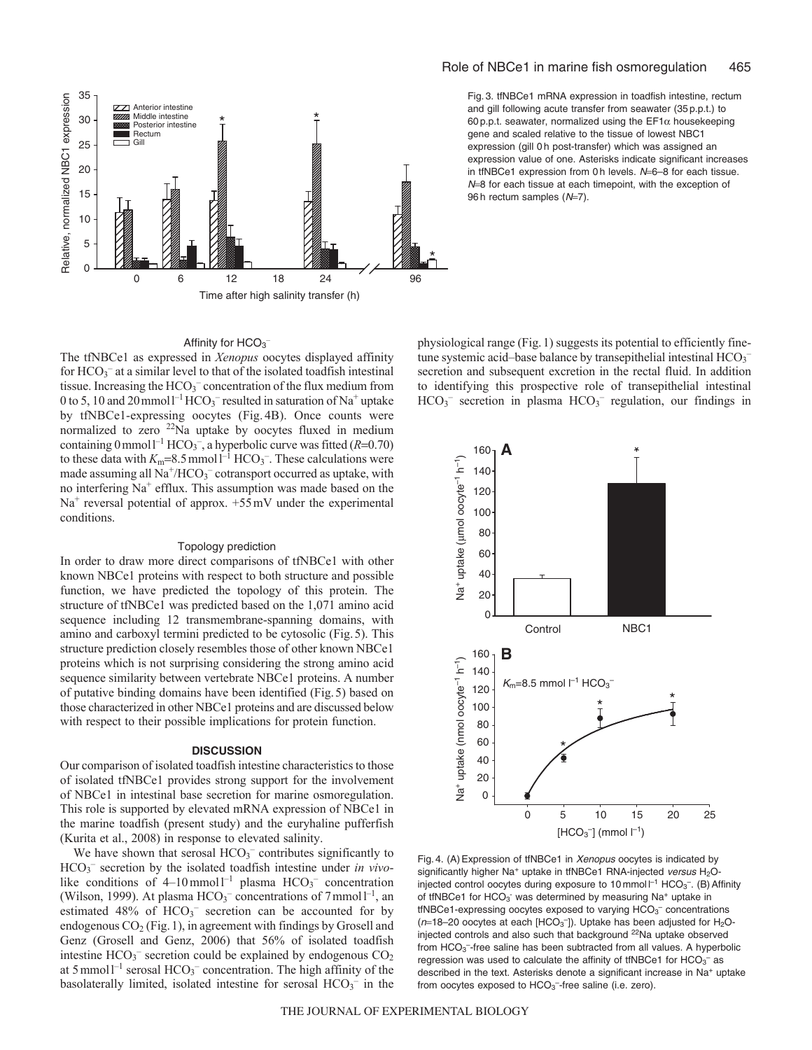

# Affinity for  $HCO<sub>3</sub>$

The tfNBCe1 as expressed in *Xenopus* oocytes displayed affinity for  $HCO<sub>3</sub><sup>-</sup>$  at a similar level to that of the isolated toadfish intestinal tissue. Increasing the HCO<sub>3</sub><sup>-</sup> concentration of the flux medium from 0 to 5, 10 and 20 mmol<sup>1-1</sup> HCO<sub>3</sub><sup>-</sup> resulted in saturation of Na<sup>+</sup> uptake by tfNBCe1-expressing oocytes (Fig. 4B). Once counts were normalized to zero 22Na uptake by oocytes fluxed in medium containing  $0$  mmol<sup>1-1</sup> HCO<sub>3</sub><sup>-</sup>, a hyperbolic curve was fitted (*R*=0.70) to these data with  $K_m=8.5$  mmol<sup> $1^{-1}$ </sup> HCO<sub>3</sub><sup>-</sup>. These calculations were made assuming all  $Na^+/HCO_3^-$  cotransport occurred as uptake, with no interfering Na+ efflux. This assumption was made based on the  $Na<sup>+</sup>$  reversal potential of approx.  $+55$  mV under the experimental conditions.

## Topology prediction

In order to draw more direct comparisons of tfNBCe1 with other known NBCe1 proteins with respect to both structure and possible function, we have predicted the topology of this protein. The structure of tfNBCe1 was predicted based on the 1,071 amino acid sequence including 12 transmembrane-spanning domains, with amino and carboxyl termini predicted to be cytosolic (Fig.5). This structure prediction closely resembles those of other known NBCe1 proteins which is not surprising considering the strong amino acid sequence similarity between vertebrate NBCe1 proteins. A number of putative binding domains have been identified (Fig.5) based on those characterized in other NBCe1 proteins and are discussed below with respect to their possible implications for protein function.

#### **DISCUSSION**

Our comparison of isolated toadfish intestine characteristics to those of isolated tfNBCe1 provides strong support for the involvement of NBCe1 in intestinal base secretion for marine osmoregulation. This role is supported by elevated mRNA expression of NBCe1 in the marine toadfish (present study) and the euryhaline pufferfish (Kurita et al., 2008) in response to elevated salinity.

We have shown that serosal  $HCO<sub>3</sub><sup>-</sup>$  contributes significantly to HCO3 – secretion by the isolated toadfish intestine under *in vivo*like conditions of  $4-10$  mmol<sup>1-1</sup> plasma  $HCO_3^-$  concentration (Wilson, 1999). At plasma  $HCO_3^-$  concentrations of 7 mmol<sup>1-1</sup>, an estimated  $48\%$  of  $HCO<sub>3</sub><sup>-</sup>$  secretion can be accounted for by endogenous  $CO<sub>2</sub>$  (Fig. 1), in agreement with findings by Grosell and Genz (Grosell and Genz, 2006) that 56% of isolated toadfish intestine  $HCO_3^-$  secretion could be explained by endogenous  $CO_2$ at 5 mmol<sup> $-1$ </sup> serosal HCO<sub>3</sub><sup>-</sup> concentration. The high affinity of the basolaterally limited, isolated intestine for serosal  $HCO_3^-$  in the Fig. 3. tfNBCe1 mRNA expression in toadfish intestine, rectum and gill following acute transfer from seawater (35 p.p.t.) to 60 p.p.t. seawater, normalized using the  $EFT\alpha$  housekeeping gene and scaled relative to the tissue of lowest NBC1 expression (gill 0 h post-transfer) which was assigned an expression value of one. Asterisks indicate significant increases in tfNBCe1 expression from 0 h levels.  $N=6-8$  for each tissue.  $N=8$  for each tissue at each timepoint, with the exception of 96 h rectum samples  $(N=7)$ .

physiological range (Fig.1) suggests its potential to efficiently finetune systemic acid-base balance by transepithelial intestinal HCO<sub>3</sub> secretion and subsequent excretion in the rectal fluid. In addition to identifying this prospective role of transepithelial intestinal  $HCO<sub>3</sub>$ <sup>-</sup> secretion in plasma  $HCO<sub>3</sub>$ <sup>-</sup> regulation, our findings in



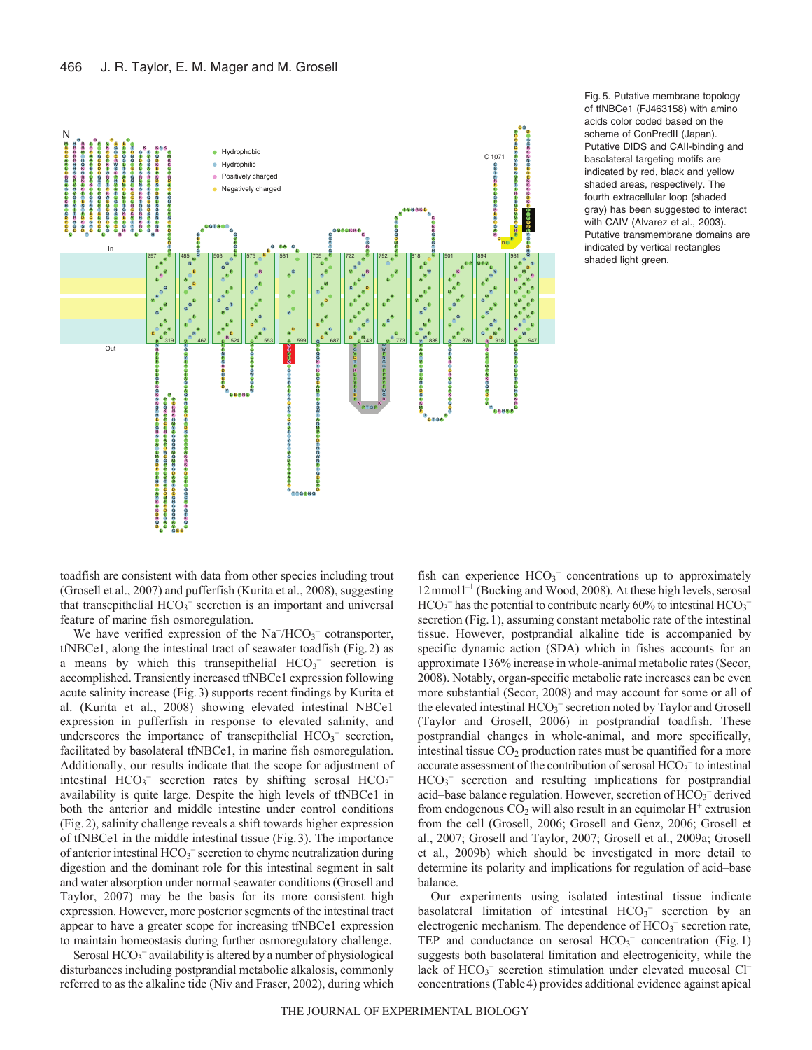

Fig. 5. Putative membrane topology of tfNBCe1 (FJ463158) with amino acids color coded based on the scheme of ConPredII (Japan). Putative DIDS and CAII-binding and basolateral targeting motifs are indicated by red, black and yellow shaded areas, respectively. The fourth extracellular loop (shaded gray) has been suggested to interact with CAIV (Alvarez et al., 2003). Putative transmembrane domains are indicated by vertical rectangles shaded light green.

toadfish are consistent with data from other species including trout (Grosell et al., 2007) and pufferfish (Kurita et al., 2008), suggesting that transepithelial  $HCO<sub>3</sub><sup>-</sup>$  secretion is an important and universal feature of marine fish osmoregulation.

We have verified expression of the  $Na^+/HCO_3^-$  cotransporter, tfNBCe1, along the intestinal tract of seawater toadfish (Fig.2) as a means by which this transepithelial  $HCO<sub>3</sub>$  secretion is accomplished. Transiently increased tfNBCe1 expression following acute salinity increase (Fig.3) supports recent findings by Kurita et al. (Kurita et al., 2008) showing elevated intestinal NBCe1 expression in pufferfish in response to elevated salinity, and underscores the importance of transepithelial  $HCO<sub>3</sub>^-$  secretion, facilitated by basolateral tfNBCe1, in marine fish osmoregulation. Additionally, our results indicate that the scope for adjustment of intestinal  $HCO_3^-$  secretion rates by shifting serosal  $HCO_3^$ availability is quite large. Despite the high levels of tfNBCe1 in both the anterior and middle intestine under control conditions (Fig.2), salinity challenge reveals a shift towards higher expression of tfNBCe1 in the middle intestinal tissue (Fig.3). The importance of anterior intestinal HCO<sub>3</sub><sup>-</sup> secretion to chyme neutralization during digestion and the dominant role for this intestinal segment in salt and water absorption under normal seawater conditions (Grosell and Taylor, 2007) may be the basis for its more consistent high expression. However, more posterior segments of the intestinal tract appear to have a greater scope for increasing tfNBCe1 expression to maintain homeostasis during further osmoregulatory challenge.

Serosal HCO<sub>3</sub><sup>-</sup> availability is altered by a number of physiological disturbances including postprandial metabolic alkalosis, commonly referred to as the alkaline tide (Niv and Fraser, 2002), during which

fish can experience HCO<sub>3</sub><sup>-</sup> concentrations up to approximately 12 mmol<sup>1-1</sup> (Bucking and Wood, 2008). At these high levels, serosal  $HCO<sub>3</sub><sup>-</sup>$  has the potential to contribute nearly 60% to intestinal  $HCO<sub>3</sub>$ secretion (Fig. 1), assuming constant metabolic rate of the intestinal tissue. However, postprandial alkaline tide is accompanied by specific dynamic action (SDA) which in fishes accounts for an approximate 136% increase in whole-animal metabolic rates (Secor, 2008). Notably, organ-specific metabolic rate increases can be even more substantial (Secor, 2008) and may account for some or all of the elevated intestinal HCO<sub>3</sub><sup>-</sup> secretion noted by Taylor and Grosell (Taylor and Grosell, 2006) in postprandial toadfish. These postprandial changes in whole-animal, and more specifically, intestinal tissue  $CO<sub>2</sub>$  production rates must be quantified for a more accurate assessment of the contribution of serosal  $HCO_3^-$  to intestinal HCO<sub>3</sub><sup>-</sup> secretion and resulting implications for postprandial acid–base balance regulation. However, secretion of HCO<sub>3</sub><sup>-</sup> derived from endogenous  $CO<sub>2</sub>$  will also result in an equimolar  $H<sup>+</sup>$  extrusion from the cell (Grosell, 2006; Grosell and Genz, 2006; Grosell et al., 2007; Grosell and Taylor, 2007; Grosell et al., 2009a; Grosell et al., 2009b) which should be investigated in more detail to determine its polarity and implications for regulation of acid–base balance.

Our experiments using isolated intestinal tissue indicate basolateral limitation of intestinal  $HCO<sub>3</sub>$  secretion by an electrogenic mechanism. The dependence of  $HCO_3^-$  secretion rate, TEP and conductance on serosal HCO<sub>3</sub><sup>-</sup> concentration (Fig.1) suggests both basolateral limitation and electrogenicity, while the lack of HCO<sub>3</sub><sup>-</sup> secretion stimulation under elevated mucosal Cl<sup>-</sup> concentrations (Table4) provides additional evidence against apical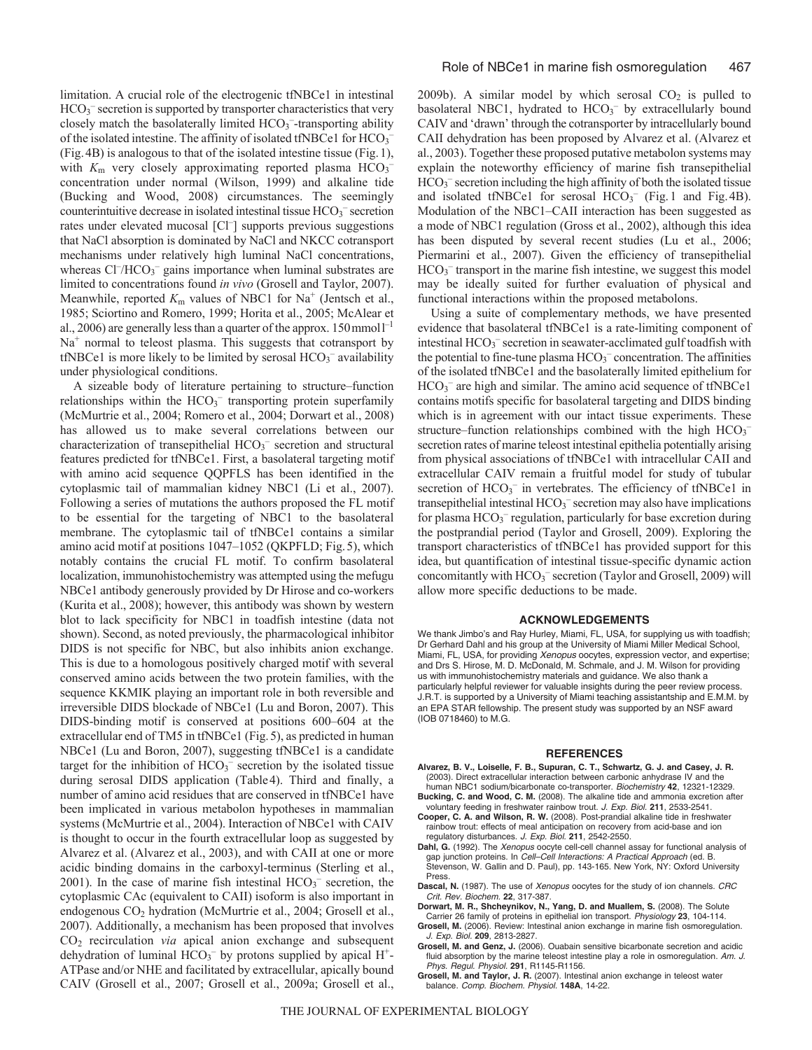limitation. A crucial role of the electrogenic tfNBCe1 in intestinal HCO<sub>3</sub><sup>-</sup> secretion is supported by transporter characteristics that very closely match the basolaterally limited HCO<sub>3</sub><sup>-</sup>-transporting ability of the isolated intestine. The affinity of isolated tfNBCe1 for HCO<sub>3</sub><sup>-</sup> (Fig.4B) is analogous to that of the isolated intestine tissue (Fig.1), with  $K<sub>m</sub>$  very closely approximating reported plasma  $HCO<sub>3</sub>$ <sup>-</sup> concentration under normal (Wilson, 1999) and alkaline tide (Bucking and Wood, 2008) circumstances. The seemingly counterintuitive decrease in isolated intestinal tissue HCO<sub>3</sub><sup>-</sup> secretion rates under elevated mucosal [Cl<sup>-</sup>] supports previous suggestions that NaCl absorption is dominated by NaCl and NKCC cotransport mechanisms under relatively high luminal NaCl concentrations, whereas Cl<sup>-</sup>/HCO<sub>3</sub><sup>-</sup> gains importance when luminal substrates are limited to concentrations found *in vivo* (Grosell and Taylor, 2007). Meanwhile, reported  $K<sub>m</sub>$  values of NBC1 for Na<sup>+</sup> (Jentsch et al., 1985; Sciortino and Romero, 1999; Horita et al., 2005; McAlear et al., 2006) are generally less than a quarter of the approx.  $150$  mmol $1^{-1}$  $Na<sup>+</sup>$  normal to teleost plasma. This suggests that cotransport by tfNBCe1 is more likely to be limited by serosal  $HCO<sub>3</sub>$ <sup>-</sup> availability under physiological conditions.

A sizeable body of literature pertaining to structure–function relationships within the  $HCO<sub>3</sub><sup>-</sup>$  transporting protein superfamily (McMurtrie et al., 2004; Romero et al., 2004; Dorwart et al., 2008) has allowed us to make several correlations between our characterization of transepithelial HCO<sub>3</sub><sup>-</sup> secretion and structural features predicted for tfNBCe1. First, a basolateral targeting motif with amino acid sequence QQPFLS has been identified in the cytoplasmic tail of mammalian kidney NBC1 (Li et al., 2007). Following a series of mutations the authors proposed the FL motif to be essential for the targeting of NBC1 to the basolateral membrane. The cytoplasmic tail of tfNBCe1 contains a similar amino acid motif at positions 1047–1052 (QKPFLD; Fig.5), which notably contains the crucial FL motif. To confirm basolateral localization, immunohistochemistry was attempted using the mefugu NBCe1 antibody generously provided by Dr Hirose and co-workers (Kurita et al., 2008); however, this antibody was shown by western blot to lack specificity for NBC1 in toadfish intestine (data not shown). Second, as noted previously, the pharmacological inhibitor DIDS is not specific for NBC, but also inhibits anion exchange. This is due to a homologous positively charged motif with several conserved amino acids between the two protein families, with the sequence KKMIK playing an important role in both reversible and irreversible DIDS blockade of NBCe1 (Lu and Boron, 2007). This DIDS-binding motif is conserved at positions 600–604 at the extracellular end of TM5 in tfNBCe1 (Fig.5), as predicted in human NBCe1 (Lu and Boron, 2007), suggesting tfNBCe1 is a candidate target for the inhibition of  $HCO<sub>3</sub><sup>-</sup>$  secretion by the isolated tissue during serosal DIDS application (Table4). Third and finally, a number of amino acid residues that are conserved in tfNBCe1 have been implicated in various metabolon hypotheses in mammalian systems (McMurtrie et al., 2004). Interaction of NBCe1 with CAIV is thought to occur in the fourth extracellular loop as suggested by Alvarez et al. (Alvarez et al., 2003), and with CAII at one or more acidic binding domains in the carboxyl-terminus (Sterling et al., 2001). In the case of marine fish intestinal  $HCO<sub>3</sub>^-$  secretion, the cytoplasmic CAc (equivalent to CAII) isoform is also important in endogenous CO2 hydration (McMurtrie et al., 2004; Grosell et al., 2007). Additionally, a mechanism has been proposed that involves CO2 recirculation *via* apical anion exchange and subsequent dehydration of luminal  $HCO<sub>3</sub><sup>-</sup>$  by protons supplied by apical  $H<sup>+</sup>$ -ATPase and/or NHE and facilitated by extracellular, apically bound CAIV (Grosell et al., 2007; Grosell et al., 2009a; Grosell et al., 2009b). A similar model by which serosal  $CO<sub>2</sub>$  is pulled to basolateral NBC1, hydrated to  $HCO<sub>3</sub><sup>-</sup>$  by extracellularly bound CAIV and 'drawn' through the cotransporter by intracellularly bound CAII dehydration has been proposed by Alvarez et al. (Alvarez et al., 2003). Together these proposed putative metabolon systems may explain the noteworthy efficiency of marine fish transepithelial HCO<sub>3</sub><sup>-</sup> secretion including the high affinity of both the isolated tissue and isolated tfNBCe1 for serosal  $HCO<sub>3</sub><sup>-</sup>$  (Fig.1 and Fig.4B). Modulation of the NBC1–CAII interaction has been suggested as a mode of NBC1 regulation (Gross et al., 2002), although this idea has been disputed by several recent studies (Lu et al., 2006; Piermarini et al., 2007). Given the efficiency of transepithelial HCO<sub>3</sub><sup>-</sup> transport in the marine fish intestine, we suggest this model may be ideally suited for further evaluation of physical and functional interactions within the proposed metabolons.

Using a suite of complementary methods, we have presented evidence that basolateral tfNBCe1 is a rate-limiting component of intestinal HCO<sub>3</sub><sup>-</sup> secretion in seawater-acclimated gulf toadfish with the potential to fine-tune plasma HCO3 *–* concentration. The affinities of the isolated tfNBCe1 and the basolaterally limited epithelium for HCO<sub>3</sub><sup>-</sup> are high and similar. The amino acid sequence of tfNBCe1 contains motifs specific for basolateral targeting and DIDS binding which is in agreement with our intact tissue experiments. These structure–function relationships combined with the high  $HCO_3^$ secretion rates of marine teleost intestinal epithelia potentially arising from physical associations of tfNBCe1 with intracellular CAII and extracellular CAIV remain a fruitful model for study of tubular secretion of HCO<sub>3</sub><sup>-</sup> in vertebrates. The efficiency of tfNBCe1 in transepithelial intestinal  $HCO_3^-$  secretion may also have implications for plasma HCO<sub>3</sub><sup>-</sup> regulation, particularly for base excretion during the postprandial period (Taylor and Grosell, 2009). Exploring the transport characteristics of tfNBCe1 has provided support for this idea, but quantification of intestinal tissue-specific dynamic action concomitantly with HCO<sub>3</sub><sup>-</sup> secretion (Taylor and Grosell, 2009) will allow more specific deductions to be made.

## **ACKNOWLEDGEMENTS**

We thank Jimbo's and Ray Hurley, Miami, FL, USA, for supplying us with toadfish; Dr Gerhard Dahl and his group at the University of Miami Miller Medical School, Miami, FL, USA, for providing Xenopus oocytes, expression vector, and expertise; and Drs S. Hirose, M. D. McDonald, M. Schmale, and J. M. Wilson for providing us with immunohistochemistry materials and guidance. We also thank a particularly helpful reviewer for valuable insights during the peer review process. J.R.T. is supported by a University of Miami teaching assistantship and E.M.M. by an EPA STAR fellowship. The present study was supported by an NSF award (IOB 0718460) to M.G.

#### **REFERENCES**

- **Alvarez, B. V., Loiselle, F. B., Supuran, C. T., Schwartz, G. J. and Casey, J. R.** (2003). Direct extracellular interaction between carbonic anhydrase IV and the
- human NBC1 sodium/bicarbonate co-transporter. Biochemistry **42**, 12321-12329. **Bucking, C. and Wood, C. M.** (2008). The alkaline tide and ammonia excretion after
- voluntary feeding in freshwater rainbow trout. J. Exp. Biol. **211**, 2533-2541. **Cooper, C. A. and Wilson, R. W.** (2008). Post-prandial alkaline tide in freshwater rainbow trout: effects of meal anticipation on recovery from acid-base and ion regulatory disturbances. J. Exp. Biol. **211**, 2542-2550.
- Dahl, G. (1992). The Xenopus oocyte cell-cell channel assay for functional analysis of gap junction proteins. In Cell-Cell Interactions: A Practical Approach (ed. B. Stevenson, W. Gallin and D. Paul), pp. 143-165. New York, NY: Oxford University Press.
- Dascal, N. (1987). The use of Xenopus oocytes for the study of ion channels. CRC Crit. Rev. Biochem. **22**, 317-387.
- **Dorwart, M. R., Shcheynikov, N., Yang, D. and Muallem, S.** (2008). The Solute Carrier 26 family of proteins in epithelial ion transport. Physiology **23**, 104-114.
- **Grosell, M.** (2006). Review: Intestinal anion exchange in marine fish osmoregulation. J. Exp. Biol. **209**, 2813-2827.
- **Grosell, M. and Genz, J.** (2006). Ouabain sensitive bicarbonate secretion and acidic fluid absorption by the marine teleost intestine play a role in osmoregulation. Am. J. Phys. Regul. Physiol. **291**, R1145-R1156.
- **Grosell, M. and Taylor, J. R.** (2007). Intestinal anion exchange in teleost water balance. Comp. Biochem. Physiol. **148A**, 14-22.